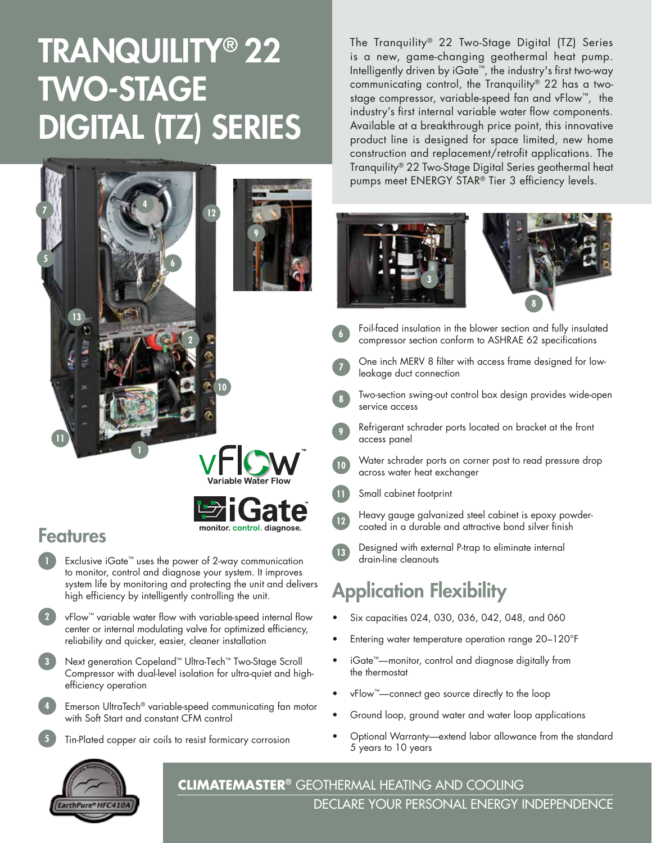# TRANQUILITY® 22 TWO-STAGE DIGITAL (TZ) SERIES



VFIOW



### Features

- Exclusive iGate™ uses the power of 2-way communication to monitor, control and diagnose your system. It improves system life by monitoring and protecting the unit and delivers high efficiency by intelligently controlling the unit. **1**
- vFlow™ variable water flow with variable-speed internal flow center or internal modulating valve for optimized efficiency, reliability and quicker, easier, cleaner installation **2**
- Next generation Copeland™ Ultra-Tech™ Two-Stage Scroll Compressor with dual-level isolation for ultra-quiet and highefficiency operation **3**
- Emerson UltraTech® variable-speed communicating fan motor with Soft Start and constant CFM control **4**
	- Tin-Plated copper air coils to resist formicary corrosion

The Tranquility® 22 Two-Stage Digital (TZ) Series is a new, game-changing geothermal heat pump. Intelligently driven by iGate™, the industry's first two-way communicating control, the Tranquility® 22 has a twostage compressor, variable-speed fan and vFlow™, the industry's first internal variable water flow components. Available at a breakthrough price point, this innovative product line is designed for space limited, new home construction and replacement/retrofit applications. The Tranquility® 22 Two-Stage Digital Series geothermal heat pumps meet ENERGY STAR® Tier 3 efficiency levels.





- Foil-faced insulation in the blower section and fully insulated compressor section conform to ASHRAE 62 specifications
- One inch MERV 8 filter with access frame designed for lowleakage duct connection

service access

**7**

**6**

**8**

**12**

- Two-section swing-out control box design provides wide-open
- Refrigerant schrader ports located on bracket at the front access panel **9**
- Water schrader ports on corner post to read pressure drop across water heat exchanger **10**
- Small cabinet footprint **11**

Heavy gauge galvanized steel cabinet is epoxy powdercoated in a durable and attractive bond silver finish

Designed with external P-trap to eliminate internal drain-line cleanouts **13**

## Application Flexibility

- Six capacities 024, 030, 036, 042, 048, and 060
- Entering water temperature operation range 20–120°F
- iGate™—monitor, control and diagnose digitally from the thermostat
- vFlow™—connect geo source directly to the loop
- Ground loop, ground water and water loop applications
- Optional Warranty—extend labor allowance from the standard 5 years to 10 years



**5**

**CLIMATEMASTER®** GEOTHERMAL HEATING AND COOLING DECLARE YOUR PERSONAL ENERGY INDEPENDENCE